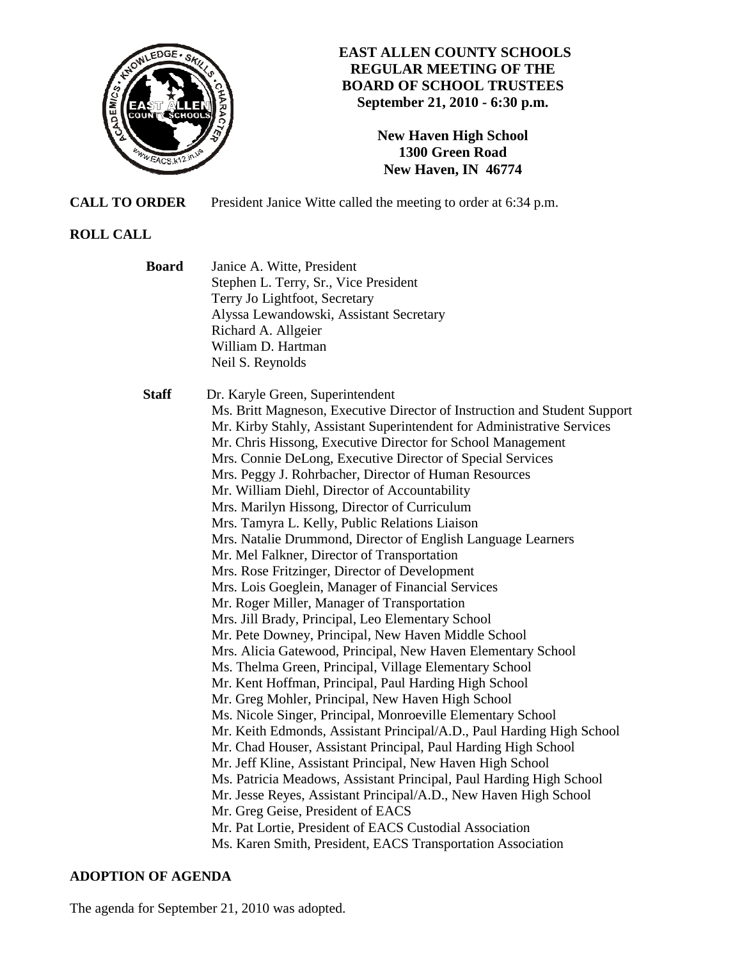

# **EAST ALLEN COUNTY SCHOOLS REGULAR MEETING OF THE BOARD OF SCHOOL TRUSTEES September 21, 2010 - 6:30 p.m.**

**New Haven High School 1300 Green Road New Haven, IN 46774**

**CALL TO ORDER** President Janice Witte called the meeting to order at 6:34 p.m.

# **ROLL CALL**

| <b>Board</b> | Janice A. Witte, President<br>Stephen L. Terry, Sr., Vice President<br>Terry Jo Lightfoot, Secretary<br>Alyssa Lewandowski, Assistant Secretary<br>Richard A. Allgeier<br>William D. Hartman                                                                                                                                                                                                                                                                                                                                                                                                                                                                                                                                                                                                                                                                                                                                                                                                                                                                                                                                                                                                                                                                                                                                                                                                                                                                                                                                                                                                                                                                                                                                               |
|--------------|--------------------------------------------------------------------------------------------------------------------------------------------------------------------------------------------------------------------------------------------------------------------------------------------------------------------------------------------------------------------------------------------------------------------------------------------------------------------------------------------------------------------------------------------------------------------------------------------------------------------------------------------------------------------------------------------------------------------------------------------------------------------------------------------------------------------------------------------------------------------------------------------------------------------------------------------------------------------------------------------------------------------------------------------------------------------------------------------------------------------------------------------------------------------------------------------------------------------------------------------------------------------------------------------------------------------------------------------------------------------------------------------------------------------------------------------------------------------------------------------------------------------------------------------------------------------------------------------------------------------------------------------------------------------------------------------------------------------------------------------|
|              | Neil S. Reynolds                                                                                                                                                                                                                                                                                                                                                                                                                                                                                                                                                                                                                                                                                                                                                                                                                                                                                                                                                                                                                                                                                                                                                                                                                                                                                                                                                                                                                                                                                                                                                                                                                                                                                                                           |
| <b>Staff</b> | Dr. Karyle Green, Superintendent<br>Ms. Britt Magneson, Executive Director of Instruction and Student Support<br>Mr. Kirby Stahly, Assistant Superintendent for Administrative Services<br>Mr. Chris Hissong, Executive Director for School Management<br>Mrs. Connie DeLong, Executive Director of Special Services<br>Mrs. Peggy J. Rohrbacher, Director of Human Resources<br>Mr. William Diehl, Director of Accountability<br>Mrs. Marilyn Hissong, Director of Curriculum<br>Mrs. Tamyra L. Kelly, Public Relations Liaison<br>Mrs. Natalie Drummond, Director of English Language Learners<br>Mr. Mel Falkner, Director of Transportation<br>Mrs. Rose Fritzinger, Director of Development<br>Mrs. Lois Goeglein, Manager of Financial Services<br>Mr. Roger Miller, Manager of Transportation<br>Mrs. Jill Brady, Principal, Leo Elementary School<br>Mr. Pete Downey, Principal, New Haven Middle School<br>Mrs. Alicia Gatewood, Principal, New Haven Elementary School<br>Ms. Thelma Green, Principal, Village Elementary School<br>Mr. Kent Hoffman, Principal, Paul Harding High School<br>Mr. Greg Mohler, Principal, New Haven High School<br>Ms. Nicole Singer, Principal, Monroeville Elementary School<br>Mr. Keith Edmonds, Assistant Principal/A.D., Paul Harding High School<br>Mr. Chad Houser, Assistant Principal, Paul Harding High School<br>Mr. Jeff Kline, Assistant Principal, New Haven High School<br>Ms. Patricia Meadows, Assistant Principal, Paul Harding High School<br>Mr. Jesse Reyes, Assistant Principal/A.D., New Haven High School<br>Mr. Greg Geise, President of EACS<br>Mr. Pat Lortie, President of EACS Custodial Association<br>Ms. Karen Smith, President, EACS Transportation Association |

# **ADOPTION OF AGENDA**

The agenda for September 21, 2010 was adopted.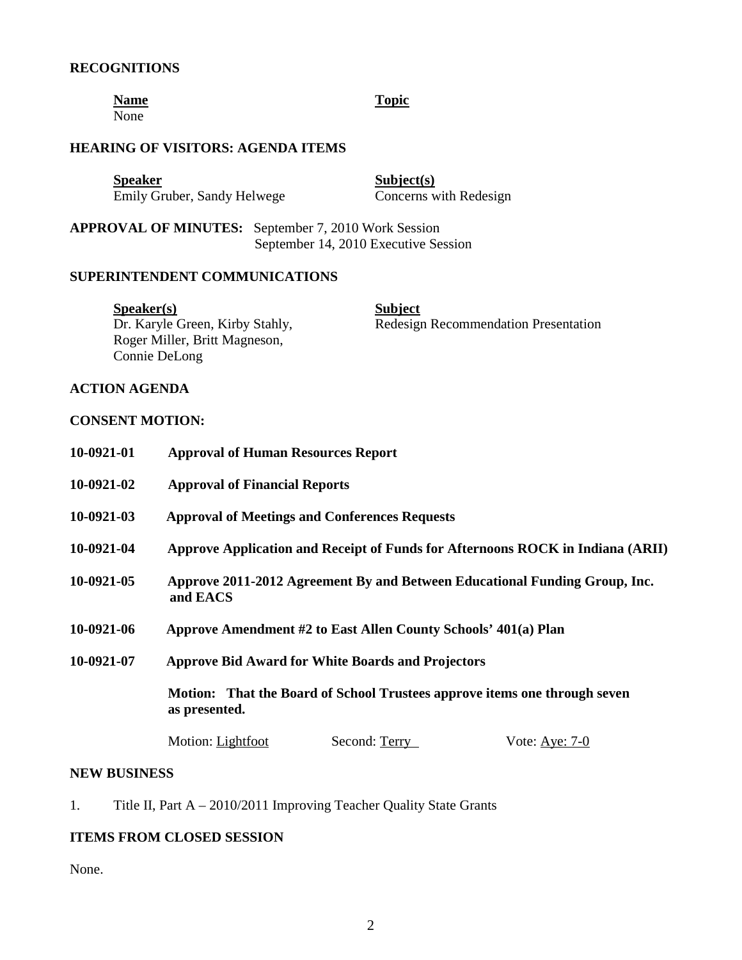#### **RECOGNITIONS**

**Name** Topic None

# **HEARING OF VISITORS: AGENDA ITEMS**

**Speaker** Subject(s) Emily Gruber, Sandy Helwege Concerns with Redesign

**APPROVAL OF MINUTES:** September 7, 2010 Work Session September 14, 2010 Executive Session

## **SUPERINTENDENT COMMUNICATIONS**

**Speaker(s)** Subject Roger Miller, Britt Magneson, Connie DeLong

Dr. Karyle Green, Kirby Stahly, Redesign Recommendation Presentation

# **ACTION AGENDA**

#### **CONSENT MOTION:**

| 10-0921-01 | <b>Approval of Human Resources Report</b>                                                  |
|------------|--------------------------------------------------------------------------------------------|
| 10-0921-02 | <b>Approval of Financial Reports</b>                                                       |
| 10-0921-03 | <b>Approval of Meetings and Conferences Requests</b>                                       |
| 10-0921-04 | Approve Application and Receipt of Funds for Afternoons ROCK in Indiana (ARII)             |
| 10-0921-05 | Approve 2011-2012 Agreement By and Between Educational Funding Group, Inc.<br>and EACS     |
| 10-0921-06 | Approve Amendment #2 to East Allen County Schools' 401(a) Plan                             |
| 10-0921-07 | <b>Approve Bid Award for White Boards and Projectors</b>                                   |
|            | Motion: That the Board of School Trustees approve items one through seven<br>as presented. |
|            | Motion: Lightfoot<br>Second: Terry<br>Vote: Aye: $7-0$                                     |

# **NEW BUSINESS**

1. Title II, Part A – 2010/2011 Improving Teacher Quality State Grants

# **ITEMS FROM CLOSED SESSION**

None.